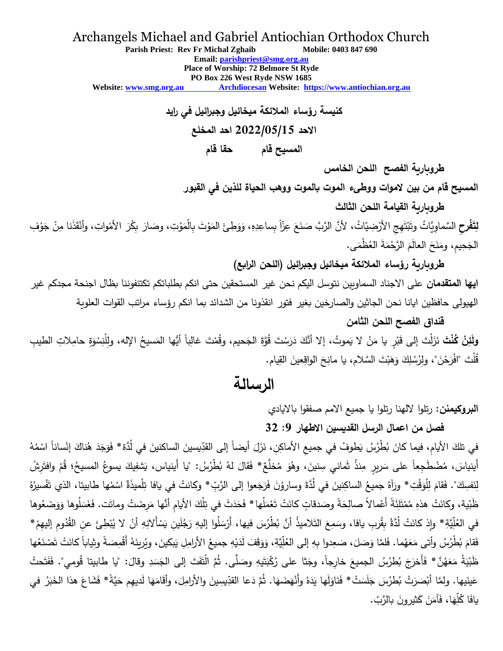#### Archangels Michael and Gabriel Antiochian Orthodox Church

**Parish Priest: Rev Fr Michal Zghaib Mobile: 0403 847 690 Email: [parishpriest@smg.org.au](about:blank) Place of Worship: 72 Belmore St Ryde PO Box 226 West Ryde NSW 1685 Website: www.smg.org.au Archdiocesan Website: [https://www.antiochian.org.au](about:blank)**

> **كنيسة رؤساء المالئكة ميخائيل وجبرائيل في رايد االحد 2022/05/15 احد المخلع المسيح قام حقا قام**

> > **طروبارية الفصح اللحن الخامس**

**المسيح قام من بين الموات ووطىء الموت بالموت ووهب الحياة للذين في القبور**

**طروبارية القيامة اللحن الثالث**

لِتَفْرِحِ السَّماوِيَّاتُ وتَبْتَهِجِ الأَرْضِيّاتُ، لأنَّ الرَّبَّ صَنَعَ عِزَّاً بِساعِدِهِ، وَوَطِئَ المَوْتَ بِالْمَوْتِ، وصَارَ بِكْرَ الأمْواتِ، وأنْقَذَنا مِنْ جَوْفِ .<br>. َ ْ ً<br>ً .<br>ا .<br>. َ ْ َ ْ ا<br>ا الْجَحِيمِ، ومَنَحَ الْعالَمَ الرَّحْمَةَ العُظْمَى. **ٔ**  $\ddot{\phantom{0}}$ َ ֺ֧֚֚֚֚֝֝

**طروبارية رؤساء المالئكة ميخائيل وجبرائيل** (**اللحن الرابع**)

**ايها المتقدمان** على االجناد السماويين نتوسل اليكم نحن غير المستحقين حتى انكم بطلباتكم تكتنفوننا بظال اجنحة مجدكم غير الهيولى حافظين ايانا نحن الجاثين والصارخين بغير فتور انقذونا من الشدائد بما انكم رؤساء مراتب القوات العلوية

**قنداق الفصح اللحن الثامن**

**ولَئِنْ كُنْتَ** نَزَلْتَ إلى قَبْرٍ يا مَنْ لا يَموتُ، إلا أنَّكَ دَرَسْتَ قُوَّةَ الجَحيم، وقُمْتَ غالِباً أيُّها المَسيحُ الإله، ولِلْنِسْوَةِ حامِلاتِ الطيبِ َ ْ َ .<br>. قُلْتَ "افْرَحْنَ"، ولِرُسُلِكَ وَهَبْتَ السَّلام، يا مانِحَ الواقِعينَ القِيام. ِّبُّ

# **الرسالة**

**البروكيمنن:** رتلوا اللهنا رتلوا يا جميع االمم صفقوا بااليادي

### **فصل من اعمال الرسل القديسين االطهار :9 32**

في تلكَ الأيامِ، فيما كانَ بُطْرُسُ يَطوفُ في جميعِ الأماكِنِ، نَزَلَ أيضاً إلى القدِّيسينَ الساكنينَ في لُدَّة\* فَوَجَدَ هُناكَ إنْساناً اسْمُهُ **∶** َ <u>:</u> .<br>-َ ْ َ أَينياسَ، مُضْطَجِعاً على سَريرٍ مِنذُ ثَماني سِنينَ، وهُوَ مُخلَّعٌ \* فَقالَ لهُ بُطْرُسُ: "يا أَينياس، يَشفِيكَ يسوعُ المسيحُ؛ قُمْ وافتَرِشْ .<br>+ ْ َ لِنَفسِكَ". فَقامَ لِلْوَقْتِ\* ورَآهُ جميعُ الساكِنينَ في لُدَّةَ وساروُنَ فَرَجَعوا إلى الرَّبِّ\* وكانتْ في يافا تِلْميذَةٌ اسْمُها طابيتا، الذي تَفْسيرُهُ <u>ّ</u> َ مُ َ َ ْ <u>بَ</u> ظَبْية، وكانَتْ هذهِ مُمْتَلِئَةً أَعْمالاً صالِحَةً وصَدقاتٍ كانَتْ تَعْمَلُها\* فَحَدَثَ في تِلْكَ الأيامِ أنَّها مَرِضَتْ وماتَت. فَغَسَلُوها وَوَضَعُوها َ َ ْ ْ ا<br>ا ْ َ ً<br>ب في العُلِّيَّةِ\* وإِذ كانَتْ لُدَّةُ بِقُربِ يافا، وسَمِعَ التَلاميذُ أنَّ بُطْرُسَ فيها، أَرْسَلُوا إليهِ رَجُلَينِ يَسْأَلانِهِ أنْ لا يُبْطِئَ عنِ القُدُومِ إليهِمْ\* ْ ْ ْ فَقامَ بُطْرُسُ وأتى مَعَهُما. فَلمَّا وَصَلَ، صَعِدوا بِهِ إلى العُلِّيَّةِ، وَوَقَفَ لَدَيْهِ جميعُ الأرامِلِ يَبكينَ، ويُرينَهُ أَقْمِصَةً وثِياباً كانَتْ تَصْنَعُها ِّبُّ ١ ֦֧<u>֓</u> َ ٔ<br>ا <u>َ</u> َ ٔ<br>ا ظَبْيَةُ مَعَهُنَّ\* فَأَخرَجَ بُطرُسُ الجميعَ خارِجاً، وجَتْا على رُكْبَتَيهِ وصَلَّى. ثُمَّ الْتَفَتَ إلى الجَسَدِ وقالَ: "يا طابيتا قُومي". فَفَتَحتُ  $\overline{a}$ َ <u>بَ</u> <u>ہ</u> َ َ ٔ. ْ .<br>ع عَينَيها. ولمَّا أَبْصَرَتْ بُطرُسَ جَلَسَتْ\* فَنَاوَلَها يَدَهُ وأَنْهَضَهَا. ثُمَّ دَعا القدِّيسِينَ والأرامِلَ، وأقَامَهَا لَديهِم حَيَّةً\* فَشَاعَ هذا الخَبَرُ في َ .<br>ا َ . <u>َ</u> َ َ ً<br>ً <u>ہ</u> ٔ<br>ا يافَا كُلِّهَا، فَآمَنَ كَثيرونَ بالرَّبّ. َ <u>:</u> َ <u>ہ</u>  $\triangleleft$ <u>ہ</u>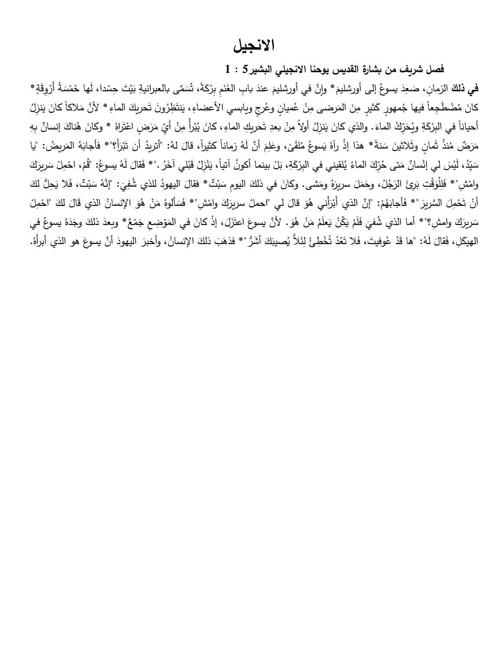## **االنجيل**

**فصل شريف من بشارة القديس يوحنا االنجيلي البشير 5 : 1**

في **ذل**كَ الزمانِ، صَعِدَ يسوعُ إلى أورشليمَ\* وإِنَّ في أورشليمَ عندَ بابِ الغَنَمِ بِرْكَةً، تُسَمَّى بالعبرانيةِ بَيْتَ حِسْدا، لَها خَمْسَةُ أَرْوِقَةٍ\* َ ْ .<br>ا َ .<br>أ .<br>ا َ ا<br>ا كانَ مُضْطَجِعاً فيها جُمهورٍ كَثيرٍ مِنَ المَرضى مِنْ عُميانٍ وعُرجٍ ويابسي الأعضاءِ، يَنتَظِرُونَ تَحريكَ الماءِ \* لأنَّ مَلاكاً كانَ يَنزِلُ َ <u>:</u> <u>بَ</u> .<br>ا <u>َ</u> .<br>: <u>َ</u> ْ أُحياناً في البِرْكَةِ ويُحَرِّكُ الماءَ. والذي كانَ يَنزِلُ أولاً مِنْ بعدِ تَحريكِ الماءِ، كانَ يُبْرأُ مِنْ أيِّ مَرَضٍ اعْتَراهُ \* وكانَ هُناكَ إنسانٌ بِهِ .<br>. ً<br>ً <u>:</u> ْ .<br>-<u>:</u> .<br>. . .<br>+ مَرَضٌ مُنذُ ثَمانٍ وثَلاثينَ سَنةً\* هذا إذْ رآهُ يَسوعُ مُلقَىً، وعَلِمَ أنَّ لَهُ زماناً كثيراً، قالَ لهُ: "أتريدُ أن تَبْرَأَ؟"\* فأجابَهُ المَريضُ: "يا<br>ِ َ َ ٔ. َ <u>َ</u>  $\overline{a}$ ٔ<br>ا سَيِّدُ، لَيْسَ لي إِنْسانٌ مَتى حُرِّكَ الماءُ يُلقيني في البِرْكَةِ، بَلْ بينما أكونُ آتياً، يَنْزِلُ قَبْلي آخَرُ ."\* فَقالَ لَهُ يسوعُ: "قُمْ، احْمِلْ سَريرَكَ **ٔ** ْ ֡֡<u>֡</u> .<br>ا ــد<br>ا ــد<br>ا **ٔ** ْ ا<br>ا وامْشِ"\* فَلِلْوَقْتِ بَرِئَ الرَجُلُ، وحَمَلَ سريرَهُ ومَشى. وكانَ في ذلكَ اليومِ سَبْتٌ\* فقالَ اليهودُ للذي شُفِيَ: "إنَّهُ سَبْتٌ، فَلا يَحِلُّ لكَ َ .<br>.  $\overline{a}$ <u>ّ</u> َ َ َ َ ً<br>ً أَنْ تَحْمِلَ السَّرِيرَ "\* فَأَجابَهُمْ: "إنَّ الذي أَبْرَأَني هُوَ قالَ لي "احملْ سريرَكَ وامْشِ"\* فَسَأَلوهُ مَنْ هُوَ الإنسانُ الذي قَالَ لكَ "احْمِلْ َ ا<br>ا ْ .<br>.  $\overline{\phantom{0}}$ **ٔ** .<br>-֡֡<u>֡</u> **ٔ** َ  $\overline{\phantom{a}}$ َ َ ــٰ سَريرَكَ وامشِ؟"\* أما الذي شُفيَ فَلَمْ يَكُنْ يَعلَمُ مَنْ هُوَ. لأنَّ يسوعَ اعتَزَلَ، إذْ كانَ في المَوْضِعِ جَمْعٌ\* وبعدَ ذلكَ وجَدَهُ يسوعُ في ا<br>ا َ ْ ً<br>ً ِّبُّ .<br>-ْ ٔ ــد<br>ا ٔ.<br>ـ َ َ َالَّ ئ ِ ل ُ ُ ْخ ِطئ ت د ُ َع َال ت َت، ف وفي ُ ْ ع َد : "ها ق ُ َه ل َقال ِل، ف الهيك . ُ َ هو الذي أب أَره أ َّن يسوع اليهود ، وأخبر ُ اإلنسان ذلك َ َب َشُّر"\* فذه أ َ َك ُصيب ي.<br>-ٔ<br>ا َ َ .<br>ا َ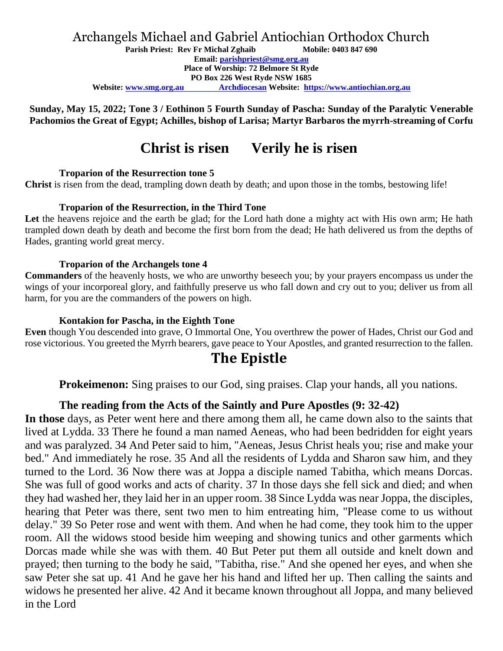### Archangels Michael and Gabriel Antiochian Orthodox Church

**Parish Priest: Rev Fr Michal Zghaib Mobile: 0403 847 690**

**Email: [parishpriest@smg.org.au](about:blank)**

**Place of Worship: 72 Belmore St Ryde**

**PO Box 226 West Ryde NSW 1685**

**Website: www.smg.org.au Archdiocesan Website: [https://www.antiochian.org.au](about:blank)**

**Sunday, May 15, 2022; Tone 3 / Eothinon 5 Fourth Sunday of Pascha: Sunday of the Paralytic Venerable Pachomios the Great of Egypt; Achilles, bishop of Larisa; Martyr Barbaros the myrrh-streaming of Corfu**

## **Christ is risen Verily he is risen**

#### **Troparion of the Resurrection tone 5**

**Christ** is risen from the dead, trampling down death by death; and upon those in the tombs, bestowing life!

#### **Troparion of the Resurrection, in the Third Tone**

Let the heavens rejoice and the earth be glad; for the Lord hath done a mighty act with His own arm; He hath trampled down death by death and become the first born from the dead; He hath delivered us from the depths of Hades, granting world great mercy.

#### **Troparion of the Archangels tone 4**

**Commanders** of the heavenly hosts, we who are unworthy beseech you; by your prayers encompass us under the wings of your incorporeal glory, and faithfully preserve us who fall down and cry out to you; deliver us from all harm, for you are the commanders of the powers on high.

#### **Kontakion for Pascha, in the Eighth Tone**

**Even** though You descended into grave, O Immortal One, You overthrew the power of Hades, Christ our God and rose victorious. You greeted the Myrrh bearers, gave peace to Your Apostles, and granted resurrection to the fallen.

## **The Epistle**

**Prokeimenon:** Sing praises to our God, sing praises. Clap your hands, all you nations.

### **The reading from the Acts of the Saintly and Pure Apostles (9: 32-42)**

**In those** days, as Peter went here and there among them all, he came down also to the saints that lived at Lydda. 33 There he found a man named Aeneas, who had been bedridden for eight years and was paralyzed. 34 And Peter said to him, "Aeneas, Jesus Christ heals you; rise and make your bed." And immediately he rose. 35 And all the residents of Lydda and Sharon saw him, and they turned to the Lord. 36 Now there was at Joppa a disciple named Tabitha, which means Dorcas. She was full of good works and acts of charity. 37 In those days she fell sick and died; and when they had washed her, they laid her in an upper room. 38 Since Lydda was near Joppa, the disciples, hearing that Peter was there, sent two men to him entreating him, "Please come to us without delay." 39 So Peter rose and went with them. And when he had come, they took him to the upper room. All the widows stood beside him weeping and showing tunics and other garments which Dorcas made while she was with them. 40 But Peter put them all outside and knelt down and prayed; then turning to the body he said, "Tabitha, rise." And she opened her eyes, and when she saw Peter she sat up. 41 And he gave her his hand and lifted her up. Then calling the saints and widows he presented her alive. 42 And it became known throughout all Joppa, and many believed in the Lord